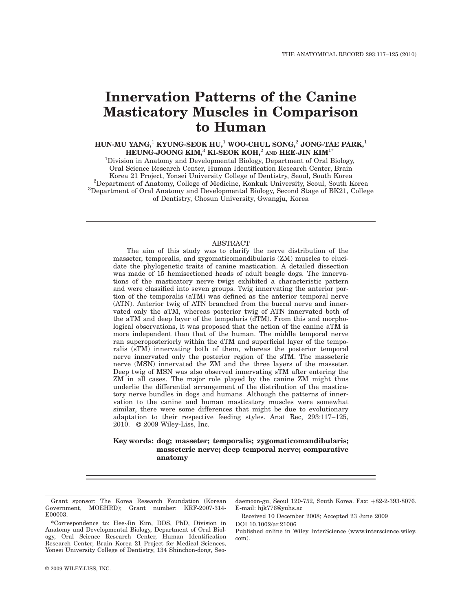# Innervation Patterns of the Canine Masticatory Muscles in Comparison to Human

# HUN-MU YANG,<sup>1</sup> KYUNG-SEOK HU,<sup>1</sup> WOO-CHUL SONG,<sup>2</sup> JONG-TAE PARK,<sup>1</sup> HEUNG-JOONG KIM,<sup>3</sup> KI-SEOK KOH,<sup>2</sup> AND HEE-JIN KIM<sup>1\*</sup>

<sup>1</sup>Division in Anatomy and Developmental Biology, Department of Oral Biology, Oral Science Research Center, Human Identification Research Center, Brain Korea 21 Project, Yonsei University College of Dentistry, Seoul, South Korea <sup>2</sup> <sup>2</sup>Department of Anatomy, College of Medicine, Konkuk University, Seoul, South Korea Department of Oral Anatomy and Developmental Biology, Second Stage of BK21, College of Dentistry, Chosun University, Gwangju, Korea

#### ABSTRACT

The aim of this study was to clarify the nerve distribution of the masseter, temporalis, and zygomaticomandibularis (ZM) muscles to elucidate the phylogenetic traits of canine mastication. A detailed dissection was made of 15 hemisectioned heads of adult beagle dogs. The innervations of the masticatory nerve twigs exhibited a characteristic pattern and were classified into seven groups. Twig innervating the anterior portion of the temporalis (aTM) was defined as the anterior temporal nerve (ATN). Anterior twig of ATN branched from the buccal nerve and innervated only the aTM, whereas posterior twig of ATN innervated both of the aTM and deep layer of the tempolaris (dTM). From this and morphological observations, it was proposed that the action of the canine aTM is more independent than that of the human. The middle temporal nerve ran superoposteriorly within the dTM and superficial layer of the temporalis (sTM) innervating both of them, whereas the posterior temporal nerve innervated only the posterior region of the sTM. The masseteric nerve (MSN) innervated the ZM and the three layers of the masseter. Deep twig of MSN was also observed innervating sTM after entering the ZM in all cases. The major role played by the canine ZM might thus underlie the differential arrangement of the distribution of the masticatory nerve bundles in dogs and humans. Although the patterns of innervation to the canine and human masticatory muscles were somewhat similar, there were some differences that might be due to evolutionary adaptation to their respective feeding styles. Anat Rec, 293:117–125, 2010. © 2009 Wiley-Liss, Inc.

## Key words: dog; masseter; temporalis; zygomaticomandibularis; masseteric nerve; deep temporal nerve; comparative anatomy

Grant sponsor: The Korea Research Foundation (Korean Government, MOEHRD); Grant number: KRF-2007-314- E00003.

\*Correspondence to: Hee-Jin Kim, DDS, PhD, Division in Anatomy and Developmental Biology, Department of Oral Biology, Oral Science Research Center, Human Identification Research Center, Brain Korea 21 Project for Medical Sciences, Yonsei University College of Dentistry, 134 Shinchon-dong, Seo-

daemoon-gu, Seoul 120-752, South Korea. Fax: +82-2-393-8076. E-mail: hjk776@yuhs.ac

Received 10 December 2008; Accepted 23 June 2009

DOI 10.1002/ar.21006

Published online in Wiley InterScience (www.interscience.wiley. com).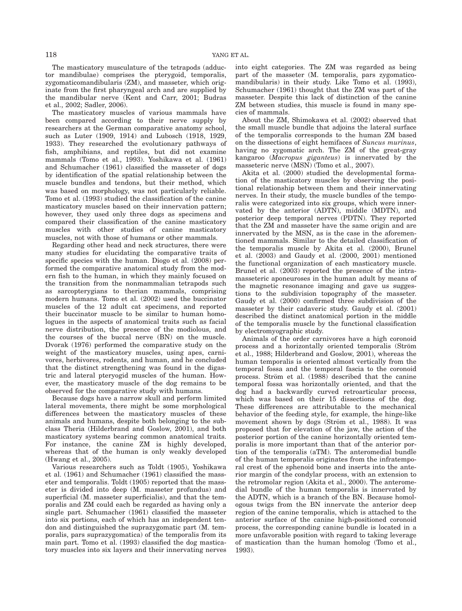The masticatory musculature of the tetrapods (adductor mandibulae) comprises the pterygoid, temporalis, zygomaticomandibularis (ZM), and masseter, which originate from the first pharyngeal arch and are supplied by the mandibular nerve (Kent and Carr, 2001; Budras et al., 2002; Sadler, 2006).

The masticatory muscles of various mammals have been compared according to their nerve supply by researchers at the German comparative anatomy school, such as Luter (1909, 1914) and Lubosch (1918, 1929, 1933). They researched the evolutionary pathways of fish, amphibians, and reptiles, but did not examine mammals (Tomo et al., 1993). Yoshikawa et al. (1961) and Schumacher (1961) classified the masseter of dogs by identification of the spatial relationship between the muscle bundles and tendons, but their method, which was based on morphology, was not particularly reliable. Tomo et al. (1993) studied the classification of the canine masticatory muscles based on their innervation pattern; however, they used only three dogs as specimens and compared their classification of the canine masticatory muscles with other studies of canine masticatory muscles, not with those of humans or other mammals.

Regarding other head and neck structures, there were many studies for elucidating the comparative traits of specific species with the human. Diogo et al.  $(2008)$  performed the comparative anatomical study from the modern fish to the human, in which they mainly focused on the transition from the nonmammalian tetrapods such as sarcopterygians to therian mammals, comprising modern humans. Tomo et al. (2002) used the buccinator muscles of the 12 adult cat specimens, and reported their buccinator muscle to be similar to human homologues in the aspects of anatomical traits such as facial nerve distribution, the presence of the modiolous, and the courses of the buccal nerve (BN) on the muscle. Dvorak (1976) performed the comparative study on the weight of the masticatory muscles, using apes, carnivores, herbivores, rodents, and human, and he concluded that the distinct strengthening was found in the digastric and lateral pteryogid muscles of the human. However, the masticatory muscle of the dog remains to be observed for the comparative study with humans.

Because dogs have a narrow skull and perform limited lateral movements, there might be some morphological differences between the masticatory muscles of these animals and humans, despite both belonging to the subclass Theria (Hilderbrand and Goslow, 2001), and both masticatory systems bearing common anatomical traits. For instance, the canine ZM is highly developed, whereas that of the human is only weakly developed (Hwang et al., 2005).

Various researchers such as Toldt (1905), Yoshikawa et al. (1961) and Schumacher (1961) classified the masseter and temporalis. Toldt (1905) reported that the masseter is divided into deep (M. masseter profundus) and superficial (M. masseter superficialis), and that the temporalis and ZM could each be regarded as having only a single part. Schumacher (1961) classified the masseter into six portions, each of which has an independent tendon and distinguished the suprazygomatic part (M. temporalis, pars suprazygomatica) of the temporalis from its main part. Tomo et al. (1993) classified the dog masticatory muscles into six layers and their innervating nerves into eight categories. The ZM was regarded as being part of the masseter (M. temporalis, pars zygomaticomandibularis) in their study. Like Tomo et al. (1993), Schumacher (1961) thought that the ZM was part of the masseter. Despite this lack of distinction of the canine ZM between studies, this muscle is found in many species of mammals.

About the ZM, Shimokawa et al. (2002) observed that the small muscle bundle that adjoins the lateral surface of the temporalis corresponds to the human ZM based on the dissections of eight hemifaces of Suncus murinus, having no zygomatic arch. The ZM of the great-gray kangaroo (Macropus giganteus) is innervated by the masseteric nerve (MSN) (Tomo et al., 2007).

Akita et al. (2000) studied the developmental formation of the masticatory muscles by observing the positional relationship between them and their innervating nerves. In their study, the muscle bundles of the temporalis were categorized into six groups, which were innervated by the anterior (ADTN), middle (MDTN), and posterior deep temporal nerves (PDTN). They reported that the ZM and masseter have the same origin and are innervated by the MSN, as is the case in the aforementioned mammals. Similar to the detailed classification of the temporalis muscle by Akita et al. (2000), Brunel et al. (2003) and Gaudy et al. (2000, 2001) mentioned the functional organization of each masticatory muscle. Brunel et al. (2003) reported the presence of the intramasseteric aponeuroses in the human adult by means of the magnetic resonance imaging and gave us suggestions to the subdivision topography of the masseter. Gaudy et al. (2000) confirmed three subdivision of the masseter by their cadaveric study. Gaudy et al. (2001) described the distinct anatomical portion in the middle of the temporalis muscle by the functional classification by electromyographic study.

Animals of the order carnivores have a high coronoid process and a horizontally oriented temporalis (Ström et al., 1988; Hilderbrand and Goslow, 2001), whereas the human temporalis is oriented almost vertically from the temporal fossa and the temporal fascia to the coronoid process. Ström et al. (1988) described that the canine temporal fossa was horizontally oriented, and that the dog had a backwardly curved retroarticular process, which was based on their 15 dissections of the dog. These differences are attributable to the mechanical behavior of the feeding style, for example, the hinge-like movement shown by dogs (Ström et al., 1988). It was proposed that for elevation of the jaw, the action of the posterior portion of the canine horizontally oriented temporalis is more important than that of the anterior portion of the temporalis (aTM). The anteromedial bundle of the human temporalis originates from the infratemporal crest of the sphenoid bone and inserts into the anterior margin of the condylar process, with an extension to the retromolar region (Akita et al., 2000). The anteromedial bundle of the human temporalis is innervated by the ADTN, which is a branch of the BN. Because homologous twigs from the BN innervate the anterior deep region of the canine temporalis, which is attached to the anterior surface of the canine high-positioned coronoid process, the corresponding canine bundle is located in a more unfavorable position with regard to taking leverage of mastication than the human homolog (Tomo et al., 1993).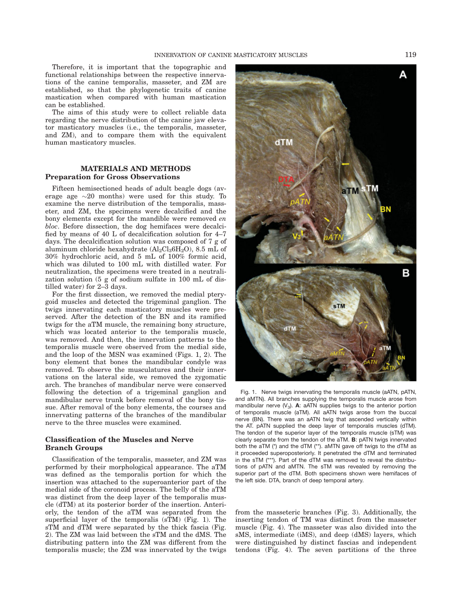Therefore, it is important that the topographic and functional relationships between the respective innervations of the canine temporalis, masseter, and ZM are established, so that the phylogenetic traits of canine mastication when compared with human mastication can be established.

The aims of this study were to collect reliable data regarding the nerve distribution of the canine jaw elevator masticatory muscles (i.e., the temporalis, masseter, and ZM), and to compare them with the equivalent human masticatory muscles.

## MATERIALS AND METHODS Preparation for Gross Observations

Fifteen hemisectioned heads of adult beagle dogs (average age  $\sim 20$  months) were used for this study. To examine the nerve distribution of the temporalis, masseter, and ZM, the specimens were decalcified and the bony elements except for the mandible were removed en bloc. Before dissection, the dog hemifaces were decalcified by means of 40 L of decalcification solution for 4–7 days. The decalcification solution was composed of 7 g of aluminum chloride hexahydrate  $(Al_2Cl_36H_2O)$ , 8.5 mL of 30% hydrochloric acid, and 5 mL of 100% formic acid, which was diluted to 100 mL with distilled water. For neutralization, the specimens were treated in a neutralization solution (5 g of sodium sulfate in 100 mL of distilled water) for 2–3 days.

For the first dissection, we removed the medial pterygoid muscles and detected the trigeminal ganglion. The twigs innervating each masticatory muscles were preserved. After the detection of the BN and its ramified twigs for the aTM muscle, the remaining bony structure, which was located anterior to the temporalis muscle, was removed. And then, the innervation patterns to the temporalis muscle were observed from the medial side, and the loop of the MSN was examined (Figs. 1, 2). The bony element that bones the mandibular condyle was removed. To observe the musculatures and their innervations on the lateral side, we removed the zygomatic arch. The branches of mandibular nerve were conserved following the detection of a trigeminal ganglion and mandibular nerve trunk before removal of the bony tissue. After removal of the bony elements, the courses and innervating patterns of the branches of the mandibular nerve to the three muscles were examined.

## Classification of the Muscles and Nerve Branch Groups

Classification of the temporalis, masseter, and ZM was performed by their morphological appearance. The aTM was defined as the temporalis portion for which the insertion was attached to the superoanterior part of the medial side of the coronoid process. The belly of the aTM was distinct from the deep layer of the temporalis muscle (dTM) at its posterior border of the insertion. Anteriorly, the tendon of the aTM was separated from the superficial layer of the temporalis (sTM) (Fig. 1). The sTM and dTM were separated by the thick fascia (Fig. 2). The ZM was laid between the sTM and the dMS. The distributing pattern into the ZM was different from the temporalis muscle; the ZM was innervated by the twigs



Fig. 1. Nerve twigs innervating the temporalis muscle (aATN, pATN, and aMTN). All branches supplying the temporalis muscle arose from mandibular nerve  $(V_3)$ . A: aATN supplies twigs to the anterior portion of temporalis muscle (aTM). All aATN twigs arose from the buccal nerve (BN). There was an aATN twig that ascended vertically within the AT. pATN supplied the deep layer of temporalis muscles (dTM). The tendon of the superior layer of the temporalis muscle (sTM) was clearly separate from the tendon of the aTM. B: pATN twigs innervated both the aTM (\*) and the dTM (\*\*). aMTN gave off twigs to the dTM as it proceeded superoposteriorly. It penetrated the dTM and terminated in the sTM (\*\*\*). Part of the dTM was removed to reveal the distributions of pATN and aMTN. The sTM was revealed by removing the superior part of the dTM. Both specimens shown were hemifaces of the left side. DTA, branch of deep temporal artery.

from the masseteric branches (Fig. 3). Additionally, the inserting tendon of TM was distinct from the masseter muscle (Fig. 4). The masseter was also divided into the sMS, intermediate (iMS), and deep (dMS) layers, which were distinguished by distinct fascias and independent tendons (Fig. 4). The seven partitions of the three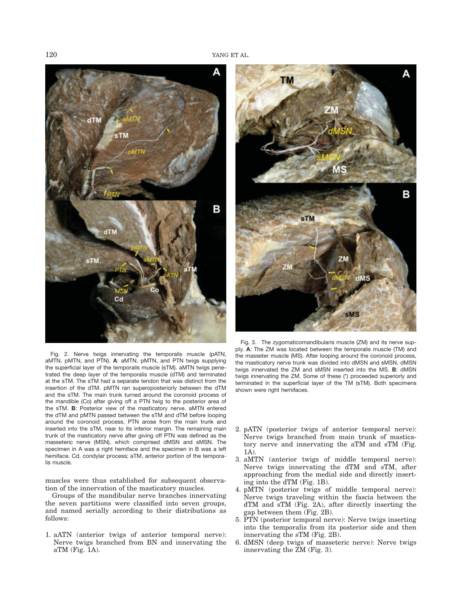

Fig. 2. Nerve twigs innervating the temporalis muscle (pATN, aMTN, pMTN, and PTN). A: aMTN, pMTN, and PTN twigs supplying the superficial layer of the temporalis muscle (sTM). aMTN twigs penetrated the deep layer of the temporalis muscle (dTM) and terminated at the sTM. The sTM had a separate tendon that was distinct from the insertion of the dTM. pMTN ran superoposteriorly between the dTM and the sTM. The main trunk turned around the coronoid process of the mandible (Co) after giving off a PTN twig to the posterior area of the sTM. B: Posterior view of the masticatory nerve. aMTN entered the dTM and pMTN passed between the sTM and dTM before looping around the coronoid process, PTN arose from the main trunk and inserted into the sTM, near to its inferior margin. The remaining main trunk of the masticatory nerve after giving off PTN was defined as the masseteric nerve (MSN), which comprised dMSN and sMSN. The specimen in A was a right hemiface and the specimen in B was a left hemiface. Cd, condylar process; aTM, anterior portion of the temporalis muscle.

muscles were thus established for subsequent observation of the innervation of the masticatory muscles.

Groups of the mandibular nerve branches innervating the seven partitions were classified into seven groups, and named serially according to their distributions as follows:

1. aATN (anterior twigs of anterior temporal nerve): Nerve twigs branched from BN and innervating the aTM (Fig. 1A).



Fig. 3. The zygomaticomandibularis muscle (ZM) and its nerve supply. A: The ZM was located between the temporalis muscle (TM) and the masseter muscle (MS). After looping around the coronoid process, the masticatory nerve trunk was divided into dMSN and sMSN. dMSN twigs innervated the ZM and sMSN inserted into the MS. B: dMSN twigs innervating the ZM. Some of these (\*) proceeded superiorly and terminated in the superficial layer of the TM (sTM). Both specimens shown were right hemifaces.

- 2. pATN (posterior twigs of anterior temporal nerve): Nerve twigs branched from main trunk of masticatory nerve and innervating the aTM and sTM (Fig. 1A).
- 3. aMTN (anterior twigs of middle temporal nerve): Nerve twigs innervating the dTM and sTM, after approaching from the medial side and directly inserting into the dTM (Fig. 1B).
- 4. pMTN (posterior twigs of middle temporal nerve): Nerve twigs traveling within the fascia between the dTM and sTM (Fig. 2A), after directly inserting the gap between them (Fig. 2B).
- 5. PTN (posterior temporal nerve): Nerve twigs inserting into the temporalis from its posterior side and then innervating the sTM (Fig. 2B).
- 6. dMSN (deep twigs of masseteric nerve): Nerve twigs innervating the ZM (Fig. 3).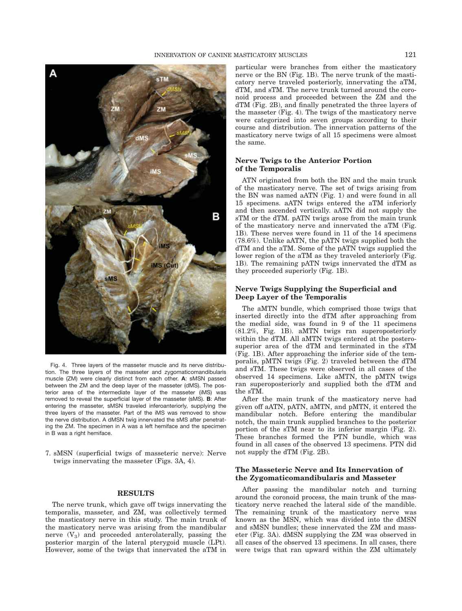

Fig. 4. Three layers of the masseter muscle and its nerve distribution. The three layers of the masseter and zygomaticomandibularis muscle (ZM) were clearly distinct from each other. A: sMSN passed between the ZM and the deep layer of the masseter (dMS). The posterior area of the intermediate layer of the masseter (iMS) was removed to reveal the superficial layer of the masseter (sMS). B: After entering the masseter, sMSN traveled inferoanteriorly, supplying the three layers of the masseter. Part of the iMS was removed to show the nerve distribution. A dMSN twig innervated the sMS after penetrating the ZM. The specimen in A was a left hemiface and the specimen in B was a right hemiface.

7. sMSN (superficial twigs of masseteric nerve): Nerve twigs innervating the masseter (Figs. 3A, 4).

#### RESULTS

The nerve trunk, which gave off twigs innervating the temporalis, masseter, and ZM, was collectively termed the masticatory nerve in this study. The main trunk of the masticatory nerve was arising from the mandibular nerve  $(V_3)$  and proceeded anterolaterally, passing the posterior margin of the lateral pterygoid muscle (LPt). However, some of the twigs that innervated the aTM in

particular were branches from either the masticatory nerve or the BN (Fig. 1B). The nerve trunk of the masticatory nerve traveled posteriorly, innervating the aTM, dTM, and sTM. The nerve trunk turned around the coronoid process and proceeded between the ZM and the dTM (Fig. 2B), and finally penetrated the three layers of the masseter (Fig. 4). The twigs of the masticatory nerve were categorized into seven groups according to their course and distribution. The innervation patterns of the masticatory nerve twigs of all 15 specimens were almost the same.

## Nerve Twigs to the Anterior Portion of the Temporalis

ATN originated from both the BN and the main trunk of the masticatory nerve. The set of twigs arising from the BN was named aATN (Fig. 1) and were found in all 15 specimens. aATN twigs entered the aTM inferiorly and then ascended vertically. aATN did not supply the sTM or the dTM. pATN twigs arose from the main trunk of the masticatory nerve and innervated the aTM (Fig. 1B). These nerves were found in 11 of the 14 specimens (78.6%). Unlike aATN, the pATN twigs supplied both the dTM and the aTM. Some of the pATN twigs supplied the lower region of the aTM as they traveled anteriorly (Fig. 1B). The remaining pATN twigs innervated the dTM as they proceeded superiorly (Fig. 1B).

## Nerve Twigs Supplying the Superficial and Deep Layer of the Temporalis

The aMTN bundle, which comprised those twigs that inserted directly into the dTM after approaching from the medial side, was found in 9 of the 11 specimens (81.2%, Fig. 1B). aMTN twigs ran superoposteriorly within the dTM. All aMTN twigs entered at the posterosuperior area of the dTM and terminated in the sTM (Fig. 1B). After approaching the inferior side of the temporalis, pMTN twigs (Fig. 2) traveled between the dTM and sTM. These twigs were observed in all cases of the observed 14 specimens. Like aMTN, the pMTN twigs ran superoposteriorly and supplied both the dTM and the sTM.

After the main trunk of the masticatory nerve had given off aATN, pATN, aMTN, and pMTN, it entered the mandibular notch. Before entering the mandibular notch, the main trunk supplied branches to the posterior portion of the sTM near to its inferior margin (Fig. 2). These branches formed the PTN bundle, which was found in all cases of the observed 13 specimens. PTN did not supply the dTM (Fig. 2B).

#### The Masseteric Nerve and Its Innervation of the Zygomaticomandibularis and Masseter

After passing the mandibular notch and turning around the coronoid process, the main trunk of the masticatory nerve reached the lateral side of the mandible. The remaining trunk of the masticatory nerve was known as the MSN, which was divided into the dMSN and sMSN bundles; these innervated the ZM and masseter (Fig. 3A). dMSN supplying the ZM was observed in all cases of the observed 13 specimens. In all cases, there were twigs that ran upward within the ZM ultimately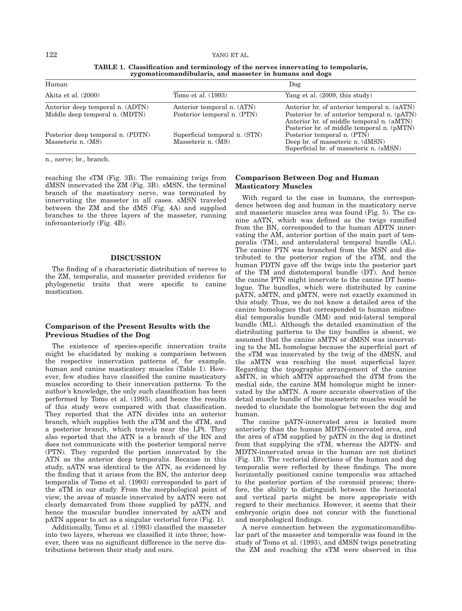#### 122 YANG ET AL.

| Human                                                              | Dog                                                       |                                                                                                                                                                                        |
|--------------------------------------------------------------------|-----------------------------------------------------------|----------------------------------------------------------------------------------------------------------------------------------------------------------------------------------------|
| Akita et al. (2000)                                                | Tomo et al. (1993)                                        | Yang et al. $(2009, \text{this study})$                                                                                                                                                |
| Anterior deep temporal n. (ADTN)<br>Middle deep temporal n. (MDTN) | Anterior temporal n. (ATN)<br>Posterior temporal n. (PTN) | Anterior br. of anterior temporal n. (aATN)<br>Posterior br. of anterior temporal n. (pATN)<br>Anterior br. of middle temporal n. (aMTN)<br>Posterior br. of middle temporal n. (pMTN) |
| Posterior deep temporal n. (PDTN)<br>Masseteric n. (MS)            | Superficial temporal n. (STN)<br>Masseteric n. (MS)       | Posterior temporal n. (PTN)<br>Deep br. of masseteric n. (dMSN)<br>Superficial br. of masseteric n. (sMSN)                                                                             |

TABLE 1. Classification and terminology of the nerves innervating to tempolaris, zygomaticomandibularis, and masseter in humans and dogs

n., nerve; br., branch.

reaching the sTM (Fig. 3B). The remaining twigs from dMSN innervated the ZM (Fig. 3B). sMSN, the terminal branch of the masticatory nerve, was terminated by innervating the masseter in all cases. sMSN traveled between the ZM and the dMS (Fig. 4A) and supplied branches to the three layers of the masseter, running inferoanteriorly (Fig. 4B).

#### DISCUSSION

The finding of a characteristic distribution of nerves to the ZM, temporalis, and masseter provided evidence for phylogenetic traits that were specific to canine mastication.

## Comparison of the Present Results with the Previous Studies of the Dog

The existence of species-specific innervation traits might be elucidated by making a comparison between the respective innervation patterns of, for example, human and canine masticatory muscles (Table 1). However, few studies have classified the canine masticatory muscles according to their innervation patterns. To the author's knowledge, the only such classification has been performed by Tomo et al. (1993), and hence the results of this study were compared with that classification. They reported that the ATN divides into an anterior branch, which supplies both the aTM and the dTM, and a posterior branch, which travels near the LPt. They also reported that the ATN is a branch of the BN and does not communicate with the posterior temporal nerve (PTN). They regarded the portion innervated by the ATN as the anterior deep temporalis. Because in this study, aATN was identical to the ATN, as evidenced by the finding that it arises from the BN, the anterior deep temporalis of Tomo et al. (1993) corresponded to part of the aTM in our study. From the morphological point of view, the areas of muscle innervated by aATN were not clearly demarcated from those supplied by pATN, and hence the muscular bundles innervated by aATN and pATN appear to act as a singular vectorial force (Fig. 1).

Additionally, Tomo et al. (1993) classified the masseter into two layers, whereas we classified it into three; however, there was no significant difference in the nerve distributions between their study and ours.

## Comparison Between Dog and Human Masticatory Muscles

With regard to the case in humans, the correspondence between dog and human in the masticatory nerve and masseteric muscles area was found (Fig. 5). The canine aATN, which was defined as the twigs ramified from the BN, corresponded to the human ADTN innervating the AM, anterior portion of the main part of temporalis (TM), and anterolateral temporal bundle (AL). The canine PTN was branched from the MSN and distributed to the posterior region of the sTM, and the human PDTN gave off the twigs into the posterior part of the TM and distotemporal bundle (DT). And hence the canine PTN might innervate to the canine DT homologue. The bundles, which were distributed by canine pATN, aMTN, and pMTN, were not exactly examined in this study. Thus, we do not know a detailed area of the canine homologues that corresponded to human midmedial temporalis bundle (MM) and mid-lateral temporal bundle (ML). Although the detailed examination of the distributing patterns to the tiny bundles is absent, we assumed that the canine aMTN or dMSN was innervating to the ML homologue because the superficial part of the sTM was innervated by the twig of the dMSN, and the aMTN was reaching the most superficial layer. Regarding the topographic arrangement of the canine aMTN, in which aMTN approached the dTM from the medial side, the canine MM homologue might be innervated by the aMTN. A more accurate observation of the detail muscle bundle of the masseteric muscles would be needed to elucidate the homologue between the dog and human.

The canine pATN-innervated area is located more anteriorly than the human MDTN-innervated area, and the area of aTM supplied by pATN in the dog is distinct from that supplying the sTM, whereas the ADTN- and MDTN-innervated areas in the human are not distinct (Fig. 1B). The vectorial directions of the human and dog temporalis were reflected by these findings. The more horizontally positioned canine temporalis was attached to the posterior portion of the coronoid process; therefore, the ability to distinguish between the horizontal and vertical parts might be more appropriate with regard to their mechanics. However, it seems that their embryonic origin does not concur with the functional and morphological findings.

A nerve connection between the zygomaticomandibular part of the masseter and temporalis was found in the study of Tomo et al. (1993), and dMSN twigs penetrating the ZM and reaching the sTM were observed in this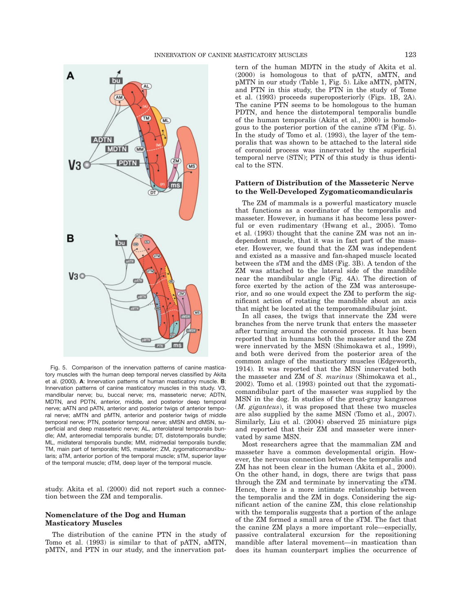

Fig. 5. Comparison of the innervation patterns of canine masticatory muscles with the human deep temporal nerves classified by Akita et al. (2000). A: Innervation patterns of human masticatory muscle. B: Innervation patterns of canine masticatory muscles in this study. V3, mandibular nerve; bu, buccal nerve; ms, masseteric nerve; ADTN, MDTN, and PDTN, anterior, middle, and posterior deep temporal nerve; aATN and pATN, anterior and posterior twigs of anterior temporal nerve; aMTN and pMTN, anterior and posterior twigs of middle temporal nerve; PTN, posterior temporal nerve; sMSN and dMSN, superficial and deep masseteric nerve; AL, anterolateral temporalis bundle; AM, anteromedial temporalis bundle; DT, distotemporalis bundle; ML, midlateral temporalis bundle; MM, midmedial temporalis bundle; TM, main part of temporalis; MS, masseter; ZM, zygomaticomandibularis; aTM, anterior portion of the temporal muscle; sTM, superior layer of the temporal muscle; dTM, deep layer of the temporal muscle.

study. Akita et al. (2000) did not report such a connection between the ZM and temporalis.

## Nomenclature of the Dog and Human Masticatory Muscles

The distribution of the canine PTN in the study of Tomo et al. (1993) is similar to that of pATN, aMTN, pMTN, and PTN in our study, and the innervation pat-

tern of the human MDTN in the study of Akita et al. (2000) is homologous to that of pATN, aMTN, and pMTN in our study (Table 1, Fig. 5). Like aMTN, pMTN, and PTN in this study, the PTN in the study of Tome et al. (1993) proceeds superoposteriorly (Figs. 1B, 2A). The canine PTN seems to be homologous to the human PDTN, and hence the distotemporal temporalis bundle of the human temporalis (Akita et al., 2000) is homologous to the posterior portion of the canine sTM (Fig. 5). In the study of Tomo et al. (1993), the layer of the temporalis that was shown to be attached to the lateral side of coronoid process was innervated by the superficial temporal nerve (STN); PTN of this study is thus identical to the STN.

## Pattern of Distribution of the Masseteric Nerve to the Well-Developed Zygomaticomandicularis

The ZM of mammals is a powerful masticatory muscle that functions as a coordinator of the temporalis and masseter. However, in humans it has become less powerful or even rudimentary (Hwang et al., 2005). Tomo et al. (1993) thought that the canine ZM was not an independent muscle, that it was in fact part of the masseter. However, we found that the ZM was independent and existed as a massive and fan-shaped muscle located between the sTM and the dMS (Fig. 3B). A tendon of the ZM was attached to the lateral side of the mandible near the mandibular angle (Fig. 4A). The direction of force exerted by the action of the ZM was anterosuperior, and so one would expect the ZM to perform the significant action of rotating the mandible about an axis that might be located at the temporomandibular joint.

In all cases, the twigs that innervate the ZM were branches from the nerve trunk that enters the masseter after turning around the coronoid process. It has been reported that in humans both the masseter and the ZM were innervated by the MSN (Shimokawa et al., 1999), and both were derived from the posterior area of the common anlage of the masticatory muscles (Edgeworth, 1914). It was reported that the MSN innervated both the masseter and ZM of S. murinus (Shimokawa et al., 2002). Tomo et al. (1993) pointed out that the zygomaticomandibular part of the masseter was supplied by the MSN in the dog. In studies of the great-gray kangaroos (M. giganteus), it was proposed that these two muscles are also supplied by the same MSN (Tomo et al., 2007). Similarly, Liu et al. (2004) observed 25 miniature pigs and reported that their ZM and masseter were innervated by same MSN.

Most researchers agree that the mammalian ZM and masseter have a common developmental origin. However, the nervous connection between the temporalis and ZM has not been clear in the human (Akita et al., 2000). On the other hand, in dogs, there are twigs that pass through the ZM and terminate by innervating the sTM. Hence, there is a more intimate relationship between the temporalis and the ZM in dogs. Considering the significant action of the canine ZM, this close relationship with the temporalis suggests that a portion of the anlage of the ZM formed a small area of the sTM. The fact that the canine ZM plays a more important role—especially, passive contralateral excursion for the repositioning mandible after lateral movement—in mastication than does its human counterpart implies the occurrence of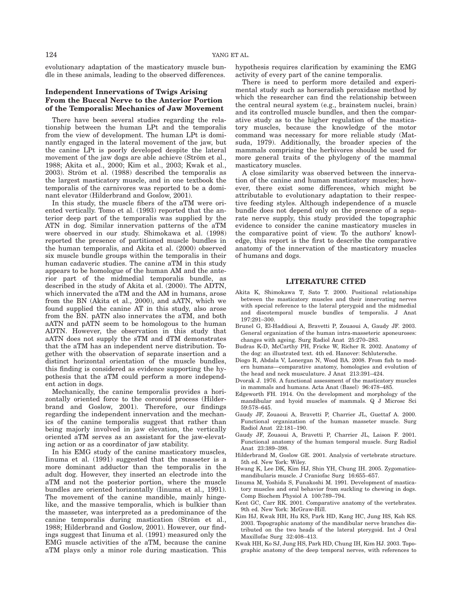evolutionary adaptation of the masticatory muscle bundle in these animals, leading to the observed differences.

# Independent Innervations of Twigs Arising From the Buccal Nerve to the Anterior Portion of the Temporalis: Mechanics of Jaw Movement

There have been several studies regarding the relationship between the human LPt and the temporalis from the view of development. The human LPt is dominantly engaged in the lateral movement of the jaw, but the canine LPt is poorly developed despite the lateral movement of the jaw dogs are able achieve (Ström et al., 1988; Akita et al., 2000; Kim et al., 2003; Kwak et al., 2003). Ström et al. (1988) described the temporalis as the largest masticatory muscle, and in one textbook the temporalis of the carnivores was reported to be a dominant elevator (Hilderbrand and Goslow, 2001).

In this study, the muscle fibers of the aTM were oriented vertically. Tomo et al. (1993) reported that the anterior deep part of the temporalis was supplied by the ATN in dog. Similar innervation patterns of the aTM were observed in our study. Shimokawa et al. (1998) reported the presence of partitioned muscle bundles in the human temporalis, and Akita et al. (2000) observed six muscle bundle groups within the temporalis in their human cadaveric studies. The canine aTM in this study appears to be homologue of the human AM and the anterior part of the midmedial temporalis bundle, as described in the study of Akita et al. (2000). The ADTN, which innervated the aTM and the AM in humans, arose from the BN (Akita et al., 2000), and aATN, which we found supplied the canine AT in this study, also arose from the BN. pATN also innervates the aTM, and both aATN and pATN seem to be homologous to the human ADTN. However, the observation in this study that aATN does not supply the sTM and dTM demonstrates that the aTM has an independent nerve distribution. Together with the observation of separate insertion and a distinct horizontal orientation of the muscle bundles, this finding is considered as evidence supporting the hypothesis that the aTM could perform a more independent action in dogs.

Mechanically, the canine temporalis provides a horizontally oriented force to the coronoid process (Hilderbrand and Goslow, 2001). Therefore, our findings regarding the independent innervation and the mechanics of the canine temporalis suggest that rather than being majorly involved in jaw elevation, the vertically oriented aTM serves as an assistant for the jaw-elevating action or as a coordinator of jaw stability.

In his EMG study of the canine masticatory muscles, Iinuma et al. (1991) suggested that the masseter is a more dominant adductor than the temporalis in the adult dog. However, they inserted an electrode into the aTM and not the posterior portion, where the muscle bundles are oriented horizontally (Iinuma et al., 1991). The movement of the canine mandible, mainly hingelike, and the massive temporalis, which is bulkier than the masseter, was interpreted as a predominance of the canine temporalis during mastication (Ström et al., 1988; Hilderbrand and Goslow, 2001). However, our findings suggest that Iinuma et al. (1991) measured only the EMG muscle activities of the aTM, because the canine aTM plays only a minor role during mastication. This hypothesis requires clarification by examining the EMG activity of every part of the canine temporalis.

There is need to perform more detailed and experimental study such as horseradish peroxidase method by which the researcher can find the relationship between the central neural system (e.g., brainstem nuclei, brain) and its controlled muscle bundles, and then the comparative study as to the higher regulation of the masticatory muscles, because the knowledge of the motor command was necessary for more reliable study (Matsuda, 1979). Additionally, the broader species of the mammals comprising the herbivores should be used for more general traits of the phylogeny of the mammal masticatory muscles.

A close similarity was observed between the innervation of the canine and human masticatory muscles; however, there exist some differences, which might be attributable to evolutionary adaptation to their respective feeding styles. Although independence of a muscle bundle does not depend only on the presence of a separate nerve supply, this study provided the topographic evidence to consider the canine masticatory muscles in the comparative point of view. To the authors' knowledge, this report is the first to describe the comparative anatomy of the innervation of the masticatory muscles of humans and dogs.

#### LITERATURE CITED

- Akita K, Shimokawa T, Sato T. 2000. Positional relationships between the masticatory muscles and their innervating nerves with special reference to the lateral pterygoid and the midmedial and discotemporal muscle bundles of temporalis. J Anat 197:291–300.
- Brunel G, El-Haddioui A, Bravetti P, Zouaoui A, Gaudy JF. 2003. General organization of the human intra-masseteric aponeuroses: changes with ageing. Surg Radiol Anat 25:270–283.
- Budras K-D, McCarthy PH, Fricke W, Richer R. 2002. Anatomy of the dog: an illustrated text. 4th ed. Hanover: Schlutersche.
- Diogo R, Abdala V, Lonergan N, Wood BA. 2008. From fish to modern humans—comparative anatomy, homologies and evolution of the head and neck musculature. J Anat 213:391–424.
- Dvorak J. 1976. A functional assessment of the masticatory muscles in mammals and humans. Acta Anat (Basel) 96:478–485.
- Edgeworth FH. 1914. On the development and morphology of the mandibular and hyoid muscles of mammals. Q J Microsc Sci 59:578–645.
- Gaudy JF, Zouaoui A, Bravetti P, Charrier JL, Guettaf A. 2000. Functional organization of the human masseter muscle. Surg Radiol Anat 22:181–190.
- Gaudy JF, Zouaoui A, Bravetti P, Charrier JL, Laison F. 2001. Functional anatomy of the human temporal muscle. Surg Radiol Anat 23:389–398.
- Hilderbrand M, Goslow GE. 2001. Analysis of vertebrate structure. 5th ed. New York: Wiley.
- Hwang K, Lee DK, Kim HJ, Shin YH, Chung IH. 2005. Zygomaticomandibularis muscle. J Craniofac Surg 16:655–657.
- Iinuma M, Yoshida S, Funakoshi M. 1991. Development of masticatory muscles and oral behavior from suckling to chewing in dogs. Comp Biochem Physiol A 100:789–794.
- Kent GC, Carr RK. 2001. Comparative anatomy of the vertebrates. 9th ed. New York: McGraw-Hill.
- Kim HJ, Kwak HH, Hu KS, Park HD, Kang HC, Jung HS, Koh KS. 2003. Topographic anatomy of the mandibular nerve branches distributed on the two heads of the lateral pterygoid. Int J Oral Maxillofac Surg 32:408–413.
- Kwak HH, Ko SJ, Jung HS, Park HD, Chung IH, Kim HJ. 2003. Topographic anatomy of the deep temporal nerves, with references to